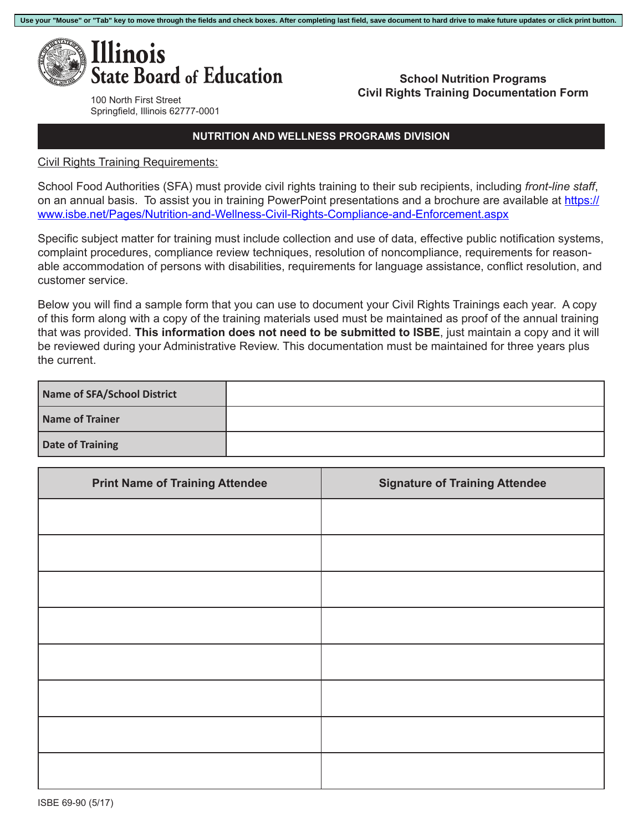

**School Nutrition Programs Civil Rights Training Documentation Form**

100 North First Street Springfield, Illinois 62777-0001

## **NUTRITION AND WELLNESS PROGRAMS DIVISION**

Civil Rights Training Requirements:

School Food Authorities (SFA) must provide civil rights training to their sub recipients, including *front-line staff*, on an annual basis. To assist you in training PowerPoint presentations and a brochure are available at https:// www.isbe.net/Pages/Nutrition-and-Wellness-Civil-Rights-Compliance-and-Enforcement.aspx

Specific subject matter for training must include collection and use of data, effective public notification systems, complaint procedures, compliance review techniques, resolution of noncompliance, requirements for reasonable accommodation of persons with disabilities, requirements for language assistance, conflict resolution, and customer service.

Below you will find a sample form that you can use to document your Civil Rights Trainings each year. A copy of this form along with a copy of the training materials used must be maintained as proof of the annual training that was provided. **This information does not need to be submitted to ISBE**, just maintain a copy and it will be reviewed during your Administrative Review. This documentation must be maintained for three years plus the current.

| Name of SFA/School District |  |
|-----------------------------|--|
| Name of Trainer             |  |
| Date of Training            |  |

| <b>Print Name of Training Attendee</b> | <b>Signature of Training Attendee</b> |
|----------------------------------------|---------------------------------------|
|                                        |                                       |
|                                        |                                       |
|                                        |                                       |
|                                        |                                       |
|                                        |                                       |
|                                        |                                       |
|                                        |                                       |
|                                        |                                       |